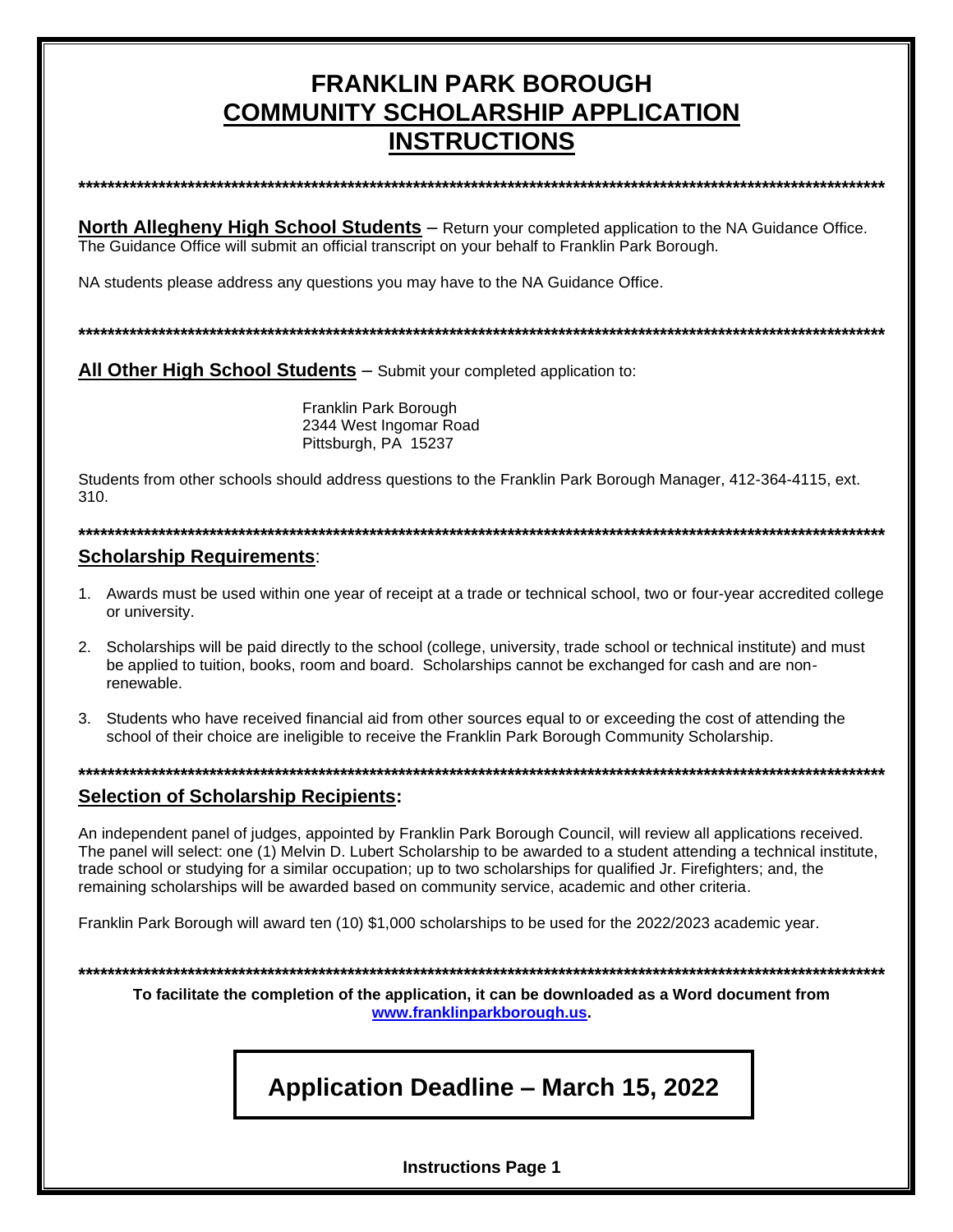## **FRANKLIN PARK BOROUGH COMMUNITY SCHOLARSHIP APPLICATION INSTRUCTIONS**

**\*\*\*\*\*\*\*\*\*\*\*\*\*\*\*\*\*\*\*\*\*\*\*\*\*\*\*\*\*\*\*\*\*\*\*\*\*\*\*\*\*\*\*\*\*\*\*\*\*\*\*\*\*\*\*\*\*\*\*\*\*\*\*\*\*\*\*\*\*\*\*\*\*\*\*\*\*\*\*\*\*\*\*\*\*\*\*\*\*\*\*\*\*\*\*\*\*\*\*\*\*\*\*\*\*\*\*\*\*\*\***

**North Allegheny High School Students** – Return your completed application to the NA Guidance Office. The Guidance Office will submit an official transcript on your behalf to Franklin Park Borough.

NA students please address any questions you may have to the NA Guidance Office.

**\*\*\*\*\*\*\*\*\*\*\*\*\*\*\*\*\*\*\*\*\*\*\*\*\*\*\*\*\*\*\*\*\*\*\*\*\*\*\*\*\*\*\*\*\*\*\*\*\*\*\*\*\*\*\*\*\*\*\*\*\*\*\*\*\*\*\*\*\*\*\*\*\*\*\*\*\*\*\*\*\*\*\*\*\*\*\*\*\*\*\*\*\*\*\*\*\*\*\*\*\*\*\*\*\*\*\*\*\*\*\***

**All Other High School Students** – Submit your completed application to:

Franklin Park Borough 2344 West Ingomar Road Pittsburgh, PA 15237

Students from other schools should address questions to the Franklin Park Borough Manager, 412-364-4115, ext. 310.

**\*\*\*\*\*\*\*\*\*\*\*\*\*\*\*\*\*\*\*\*\*\*\*\*\*\*\*\*\*\*\*\*\*\*\*\*\*\*\*\*\*\*\*\*\*\*\*\*\*\*\*\*\*\*\*\*\*\*\*\*\*\*\*\*\*\*\*\*\*\*\*\*\*\*\*\*\*\*\*\*\*\*\*\*\*\*\*\*\*\*\*\*\*\*\*\*\*\*\*\*\*\*\*\*\*\*\*\*\*\*\***

#### **Scholarship Requirements**:

- 1. Awards must be used within one year of receipt at a trade or technical school, two or four-year accredited college or university.
- 2. Scholarships will be paid directly to the school (college, university, trade school or technical institute) and must be applied to tuition, books, room and board. Scholarships cannot be exchanged for cash and are nonrenewable.
- 3. Students who have received financial aid from other sources equal to or exceeding the cost of attending the school of their choice are ineligible to receive the Franklin Park Borough Community Scholarship.

**\*\*\*\*\*\*\*\*\*\*\*\*\*\*\*\*\*\*\*\*\*\*\*\*\*\*\*\*\*\*\*\*\*\*\*\*\*\*\*\*\*\*\*\*\*\*\*\*\*\*\*\*\*\*\*\*\*\*\*\*\*\*\*\*\*\*\*\*\*\*\*\*\*\*\*\*\*\*\*\*\*\*\*\*\*\*\*\*\*\*\*\*\*\*\*\*\*\*\*\*\*\*\*\*\*\*\*\*\*\*\***

#### **Selection of Scholarship Recipients:**

An independent panel of judges, appointed by Franklin Park Borough Council, will review all applications received. The panel will select: one (1) Melvin D. Lubert Scholarship to be awarded to a student attending a technical institute, trade school or studying for a similar occupation; up to two scholarships for qualified Jr. Firefighters; and, the remaining scholarships will be awarded based on community service, academic and other criteria.

Franklin Park Borough will award ten (10) \$1,000 scholarships to be used for the 2022/2023 academic year.

**\*\*\*\*\*\*\*\*\*\*\*\*\*\*\*\*\*\*\*\*\*\*\*\*\*\*\*\*\*\*\*\*\*\*\*\*\*\*\*\*\*\*\*\*\*\*\*\*\*\*\*\*\*\*\*\*\*\*\*\*\*\*\*\*\*\*\*\*\*\*\*\*\*\*\*\*\*\*\*\*\*\*\*\*\*\*\*\*\*\*\*\*\*\*\*\*\*\*\*\*\*\*\*\*\*\*\*\*\*\*\***

**To facilitate the completion of the application, it can be downloaded as a Word document from [www.franklinparkborough.us.](http://www.franklinparkborough.us/)**

# **Application Deadline – March 15, 2022**

**Instructions Page 1**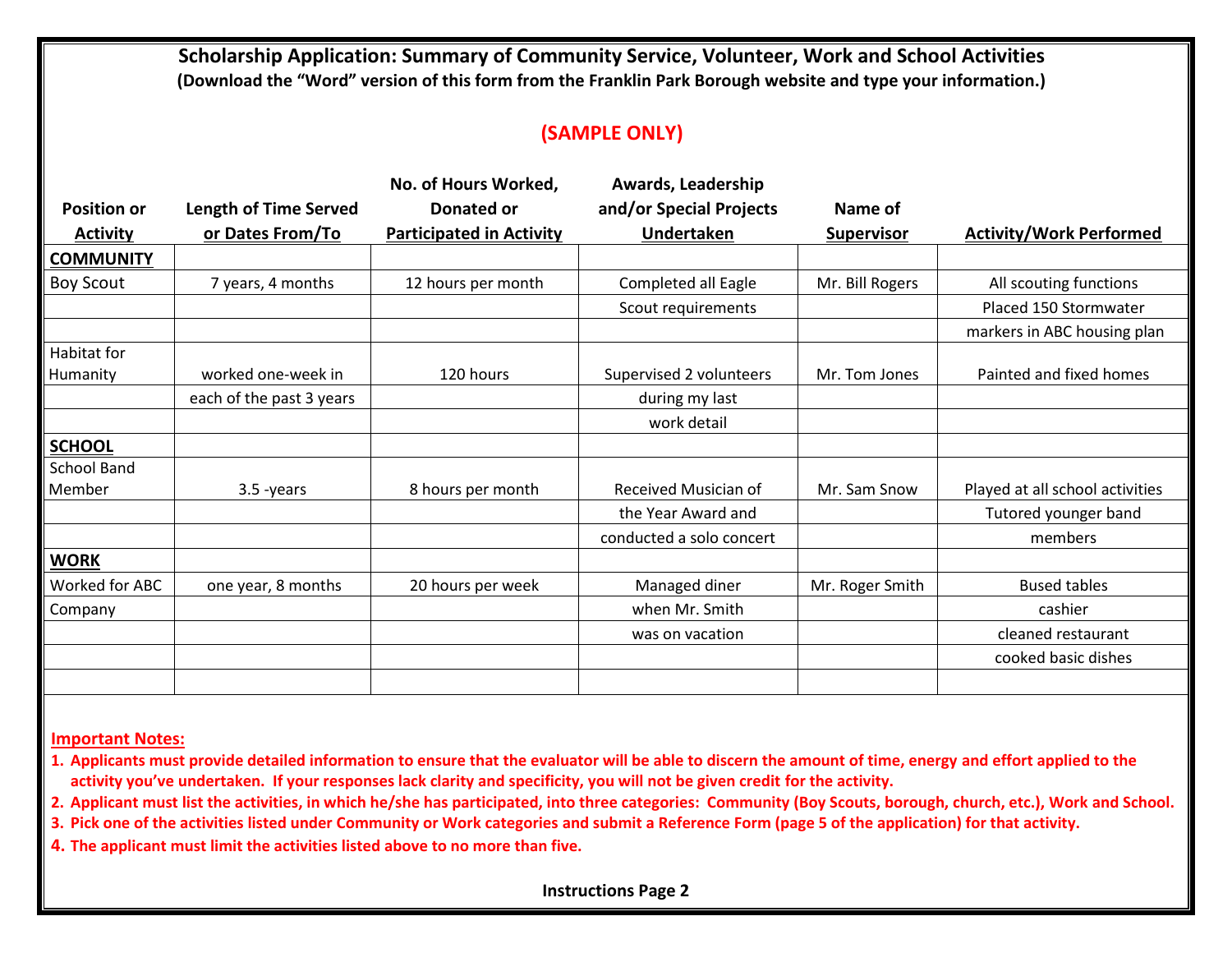**Scholarship Application: Summary of Community Service, Volunteer, Work and School Activities (Download the "Word" version of this form from the Franklin Park Borough website and type your information.)**

#### **(SAMPLE ONLY)**

|                    |                              | No. of Hours Worked,            | Awards, Leadership       |                   |                                 |
|--------------------|------------------------------|---------------------------------|--------------------------|-------------------|---------------------------------|
| <b>Position or</b> | <b>Length of Time Served</b> | Donated or                      | and/or Special Projects  | Name of           |                                 |
| <b>Activity</b>    | or Dates From/To             | <b>Participated in Activity</b> | <b>Undertaken</b>        | <b>Supervisor</b> | <b>Activity/Work Performed</b>  |
| <b>COMMUNITY</b>   |                              |                                 |                          |                   |                                 |
| <b>Boy Scout</b>   | 7 years, 4 months            | 12 hours per month              | Completed all Eagle      | Mr. Bill Rogers   | All scouting functions          |
|                    |                              |                                 | Scout requirements       |                   | Placed 150 Stormwater           |
|                    |                              |                                 |                          |                   | markers in ABC housing plan     |
| Habitat for        |                              |                                 |                          |                   |                                 |
| Humanity           | worked one-week in           | 120 hours                       | Supervised 2 volunteers  | Mr. Tom Jones     | Painted and fixed homes         |
|                    | each of the past 3 years     |                                 | during my last           |                   |                                 |
|                    |                              |                                 | work detail              |                   |                                 |
| <b>SCHOOL</b>      |                              |                                 |                          |                   |                                 |
| <b>School Band</b> |                              |                                 |                          |                   |                                 |
| Member             | $3.5 - years$                | 8 hours per month               | Received Musician of     | Mr. Sam Snow      | Played at all school activities |
|                    |                              |                                 | the Year Award and       |                   | Tutored younger band            |
|                    |                              |                                 | conducted a solo concert |                   | members                         |
| <b>WORK</b>        |                              |                                 |                          |                   |                                 |
| Worked for ABC     | one year, 8 months           | 20 hours per week               | Managed diner            | Mr. Roger Smith   | <b>Bused tables</b>             |
| Company            |                              |                                 | when Mr. Smith           |                   | cashier                         |
|                    |                              |                                 | was on vacation          |                   | cleaned restaurant              |
|                    |                              |                                 |                          |                   | cooked basic dishes             |
|                    |                              |                                 |                          |                   |                                 |

**Important Notes:**

**1. Applicants must provide detailed information to ensure that the evaluator will be able to discern the amount of time, energy and effort applied to the activity you've undertaken. If your responses lack clarity and specificity, you will not be given credit for the activity.**

**2. Applicant must list the activities, in which he/she has participated, into three categories: Community (Boy Scouts, borough, church, etc.), Work and School.**

**3. Pick one of the activities listed under Community or Work categories and submit a Reference Form (page 5 of the application) for that activity.**

**4. The applicant must limit the activities listed above to no more than five.**

**Instructions Page 2**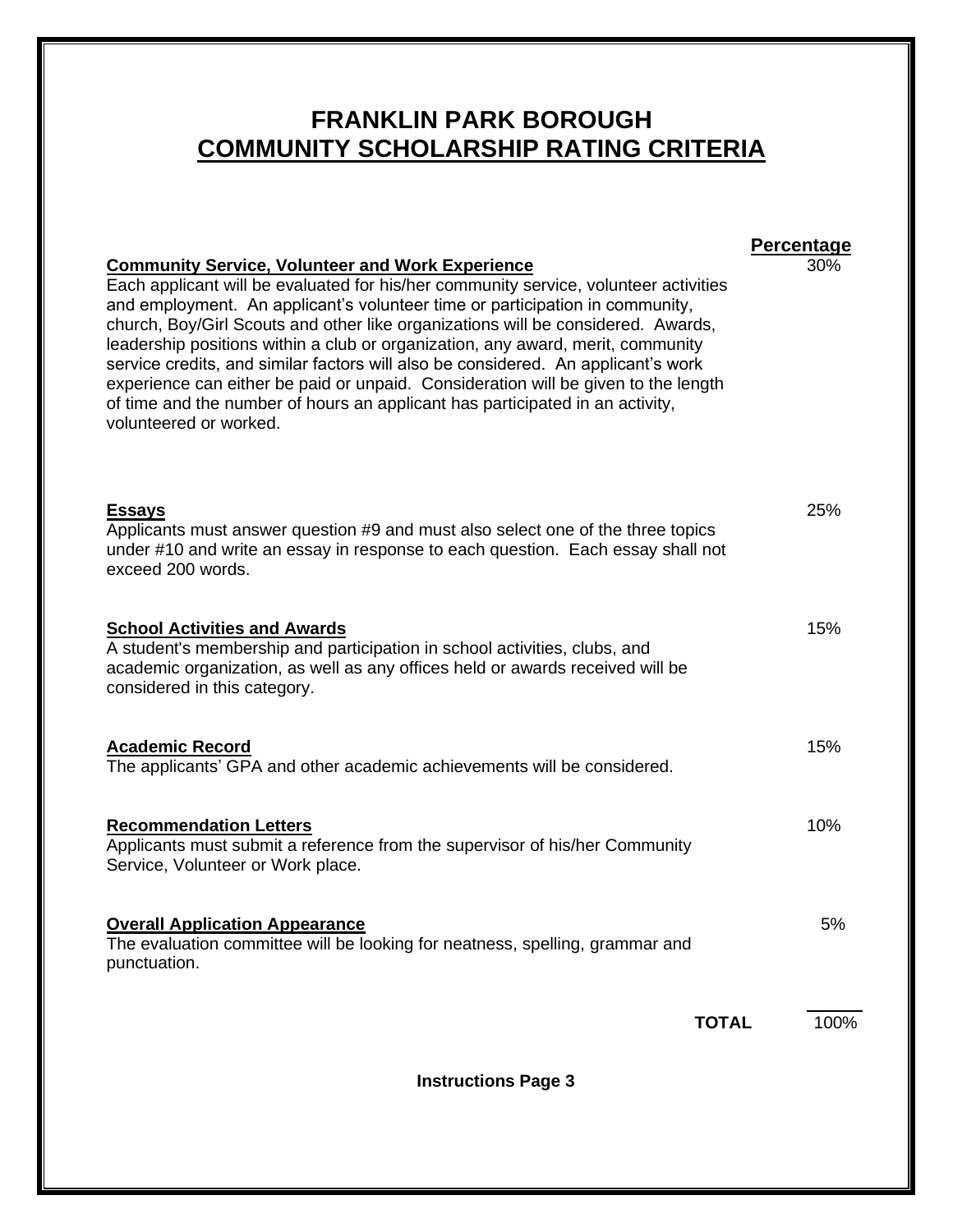## **FRANKLIN PARK BOROUGH COMMUNITY SCHOLARSHIP RATING CRITERIA**

Each applicant will be evaluated for his/her community service, volunteer activities and employment. An applicant's volunteer time or participation in community, church, Boy/Girl Scouts and other like organizations will be considered. Awards, leadership positions within a club or organization, any award, merit, community service credits, and similar factors will also be considered. An applicant's work

| <b>Instructions Page 3</b>                                                                                                                                                                                                        |      |
|-----------------------------------------------------------------------------------------------------------------------------------------------------------------------------------------------------------------------------------|------|
| <b>TOTAL</b>                                                                                                                                                                                                                      | 100% |
| <b>Overall Application Appearance</b><br>The evaluation committee will be looking for neatness, spelling, grammar and<br>punctuation.                                                                                             | 5%   |
| <b>Recommendation Letters</b><br>Applicants must submit a reference from the supervisor of his/her Community<br>Service, Volunteer or Work place.                                                                                 | 10%  |
| <b>Academic Record</b><br>The applicants' GPA and other academic achievements will be considered.                                                                                                                                 | 15%  |
| <b>School Activities and Awards</b><br>A student's membership and participation in school activities, clubs, and<br>academic organization, as well as any offices held or awards received will be<br>considered in this category. | 15%  |
| <b>Essays</b><br>Applicants must answer question #9 and must also select one of the three topics<br>under #10 and write an essay in response to each question. Each essay shall not<br>exceed 200 words.                          | 25%  |
| experience can either be paid or unpaid. Consideration will be given to the length<br>of time and the number of hours an applicant has participated in an activity,<br>volunteered or worked.                                     |      |

**Percentage Community Service, Volunteer and Work Experience** 30%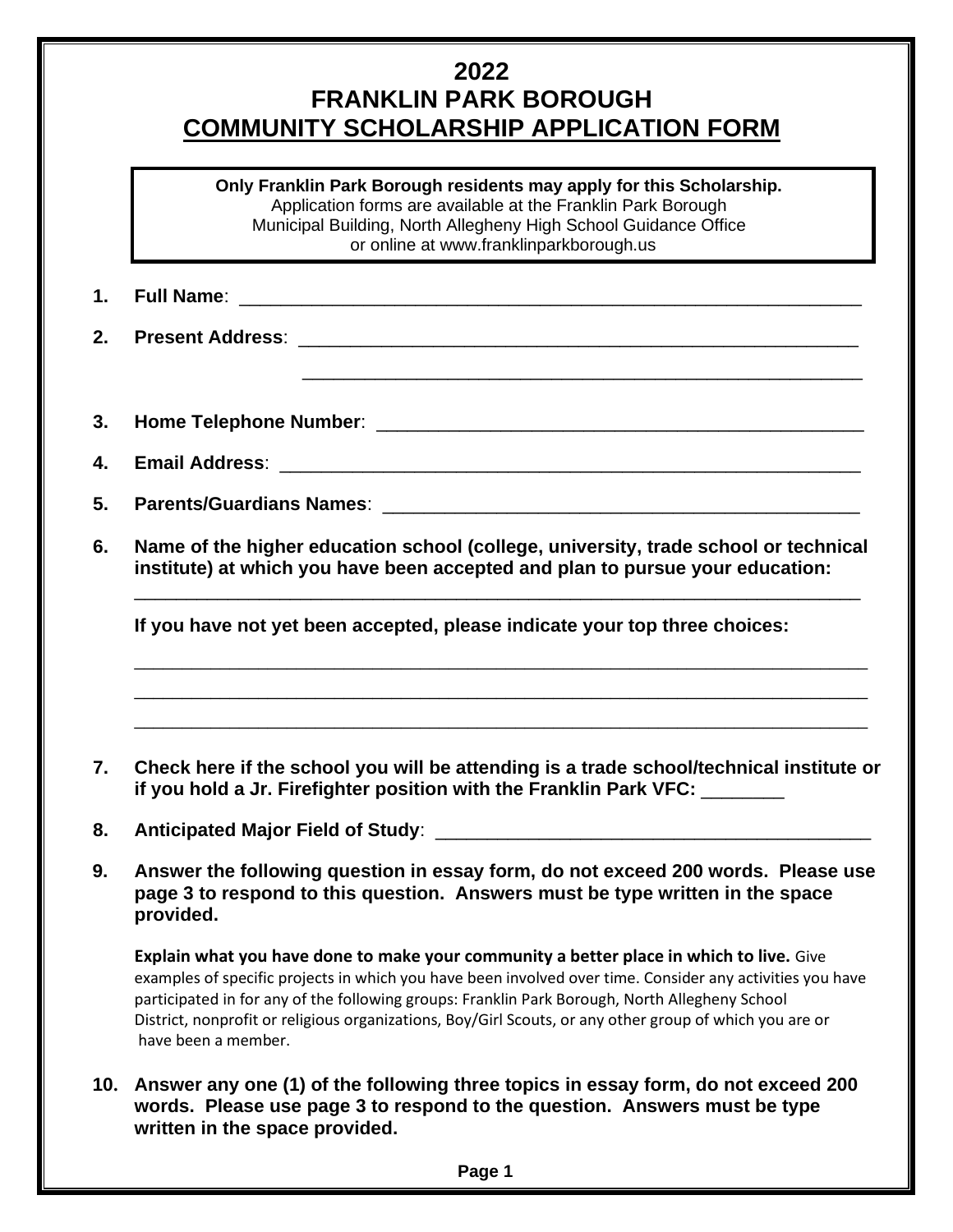### **2022 FRANKLIN PARK BOROUGH COMMUNITY SCHOLARSHIP APPLICATION FORM**

**Only Franklin Park Borough residents may apply for this Scholarship.** Application forms are available at the Franklin Park Borough Municipal Building, North Allegheny High School Guidance Office or online at [www.franklinparkborough.us](http://www.franklinparkborough.us/)

\_\_\_\_\_\_\_\_\_\_\_\_\_\_\_\_\_\_\_\_\_\_\_\_\_\_\_\_\_\_\_\_\_\_\_\_\_\_\_\_\_\_\_\_\_\_\_\_\_\_\_\_\_\_

**1. Full Name**: \_\_\_\_\_\_\_\_\_\_\_\_\_\_\_\_\_\_\_\_\_\_\_\_\_\_\_\_\_\_\_\_\_\_\_\_\_\_\_\_\_\_\_\_\_\_\_\_\_\_\_\_\_\_\_\_\_\_\_\_

- **2. Present Address**: \_\_\_\_\_\_\_\_\_\_\_\_\_\_\_\_\_\_\_\_\_\_\_\_\_\_\_\_\_\_\_\_\_\_\_\_\_\_\_\_\_\_\_\_\_\_\_\_\_\_\_\_\_\_
- **3. Home Telephone Number**: \_\_\_\_\_\_\_\_\_\_\_\_\_\_\_\_\_\_\_\_\_\_\_\_\_\_\_\_\_\_\_\_\_\_\_\_\_\_\_\_\_\_\_\_\_\_\_
- **4. Email Address**: \_\_\_\_\_\_\_\_\_\_\_\_\_\_\_\_\_\_\_\_\_\_\_\_\_\_\_\_\_\_\_\_\_\_\_\_\_\_\_\_\_\_\_\_\_\_\_\_\_\_\_\_\_\_\_\_
- **5. Parents/Guardians Names**: \_\_\_\_\_\_\_\_\_\_\_\_\_\_\_\_\_\_\_\_\_\_\_\_\_\_\_\_\_\_\_\_\_\_\_\_\_\_\_\_\_\_\_\_\_\_
- **6. Name of the higher education school (college, university, trade school or technical institute) at which you have been accepted and plan to pursue your education:** \_\_\_\_\_\_\_\_\_\_\_\_\_\_\_\_\_\_\_\_\_\_\_\_\_\_\_\_\_\_\_\_\_\_\_\_\_\_\_\_\_\_\_\_\_\_\_\_\_\_\_\_\_\_\_\_\_\_\_\_\_\_\_\_\_\_\_\_\_\_

**If you have not yet been accepted, please indicate your top three choices:** 

**7. Check here if the school you will be attending is a trade school/technical institute or if you hold a Jr. Firefighter position with the Franklin Park VFC:** \_\_\_\_\_\_\_\_

\_\_\_\_\_\_\_\_\_\_\_\_\_\_\_\_\_\_\_\_\_\_\_\_\_\_\_\_\_\_\_\_\_\_\_\_\_\_\_\_\_\_\_\_\_\_\_\_\_\_\_\_\_\_\_\_\_\_\_\_\_\_\_\_\_\_\_\_\_\_\_\_\_\_\_\_\_ \_\_\_\_\_\_\_\_\_\_\_\_\_\_\_\_\_\_\_\_\_\_\_\_\_\_\_\_\_\_\_\_\_\_\_\_\_\_\_\_\_\_\_\_\_\_\_\_\_\_\_\_\_\_\_\_\_\_\_\_\_\_\_\_\_\_\_\_\_\_\_\_\_\_\_\_\_ \_\_\_\_\_\_\_\_\_\_\_\_\_\_\_\_\_\_\_\_\_\_\_\_\_\_\_\_\_\_\_\_\_\_\_\_\_\_\_\_\_\_\_\_\_\_\_\_\_\_\_\_\_\_\_\_\_\_\_\_\_\_\_\_\_\_\_\_\_\_\_\_\_\_\_\_\_

- **8. Anticipated Major Field of Study**: \_\_\_\_\_\_\_\_\_\_\_\_\_\_\_\_\_\_\_\_\_\_\_\_\_\_\_\_\_\_\_\_\_\_\_\_\_\_\_\_\_\_
- **9. Answer the following question in essay form, do not exceed 200 words. Please use page 3 to respond to this question. Answers must be type written in the space provided.**

**Explain what you have done to make your community a better place in which to live.** Give examples of specific projects in which you have been involved over time. Consider any activities you have participated in for any of the following groups: Franklin Park Borough, North Allegheny School District, nonprofit or religious organizations, Boy/Girl Scouts, or any other group of which you are or have been a member.

**10. Answer any one (1) of the following three topics in essay form, do not exceed 200 words. Please use page 3 to respond to the question. Answers must be type written in the space provided.**

**Page 1**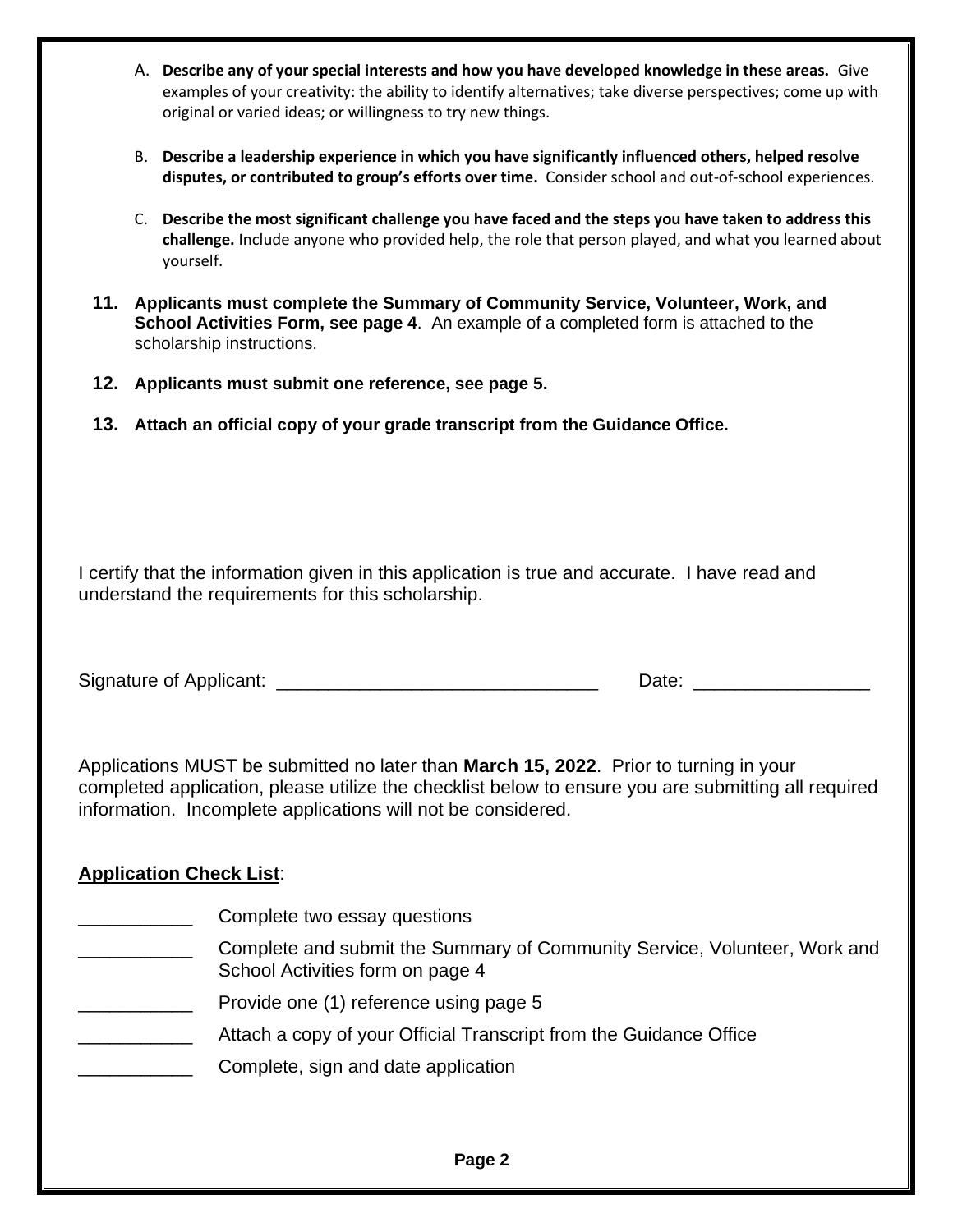| А. | Describe any of your special interests and how you have developed knowledge in these areas. Give<br>examples of your creativity: the ability to identify alternatives; take diverse perspectives; come up with<br>original or varied ideas; or willingness to try new things. |
|----|-------------------------------------------------------------------------------------------------------------------------------------------------------------------------------------------------------------------------------------------------------------------------------|
| В. | Describe a leadership experience in which you have significantly influenced others, helped resolve<br>disputes, or contributed to group's efforts over time. Consider school and out-of-school experiences.                                                                   |

- C. **Describe the most significant challenge you have faced and the steps you have taken to address this challenge.** Include anyone who provided help, the role that person played, and what you learned about yourself.
- **11. Applicants must complete the Summary of Community Service, Volunteer, Work, and School Activities Form, see page 4**. An example of a completed form is attached to the scholarship instructions.
- **12. Applicants must submit one reference, see page 5.**
- **13. Attach an official copy of your grade transcript from the Guidance Office.**

I certify that the information given in this application is true and accurate. I have read and understand the requirements for this scholarship.

Signature of Applicant: \_\_\_\_\_\_\_\_\_\_\_\_\_\_\_\_\_\_\_\_\_\_\_\_\_\_\_\_\_\_\_ Date: \_\_\_\_\_\_\_\_\_\_\_\_\_\_\_\_\_

Applications MUST be submitted no later than **March 15, 2022**. Prior to turning in your completed application, please utilize the checklist below to ensure you are submitting all required information. Incomplete applications will not be considered.

### **Application Check List**:

- \_\_\_\_\_\_\_\_\_\_\_ Complete two essay questions
- **EXALLET COMPLET AND SUMIT COMMUNITY COMMUNITY SERVICE, Volunteer, Work and** School Activities form on page 4
- Provide one (1) reference using page 5
- **EXECUTE:** Attach a copy of your Official Transcript from the Guidance Office
- **EXECOMPLET** Complete, sign and date application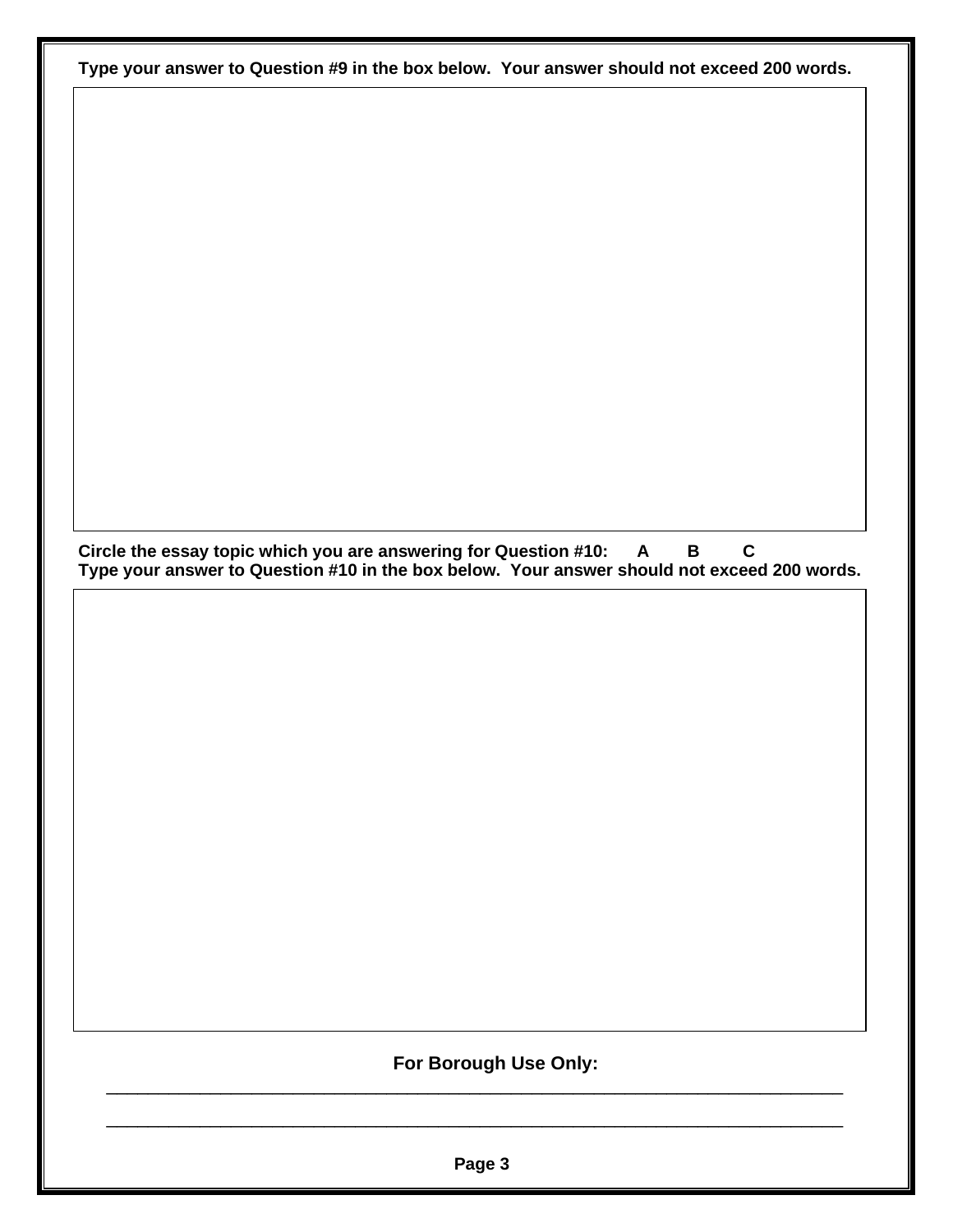**Type your answer to Question #9 in the box below. Your answer should not exceed 200 words.**

**Circle the essay topic which you are answering for Question #10: A B C Type your answer to Question #10 in the box below. Your answer should not exceed 200 words.**

### **For Borough Use Only:**

**Page 3**

\_\_\_\_\_\_\_\_\_\_\_\_\_\_\_\_\_\_\_\_\_\_\_\_\_\_\_\_\_\_\_\_\_\_\_\_\_\_\_\_\_\_\_\_\_\_\_\_\_\_\_\_\_\_\_\_\_\_\_\_\_\_\_\_\_\_\_\_\_\_\_

\_\_\_\_\_\_\_\_\_\_\_\_\_\_\_\_\_\_\_\_\_\_\_\_\_\_\_\_\_\_\_\_\_\_\_\_\_\_\_\_\_\_\_\_\_\_\_\_\_\_\_\_\_\_\_\_\_\_\_\_\_\_\_\_\_\_\_\_\_\_\_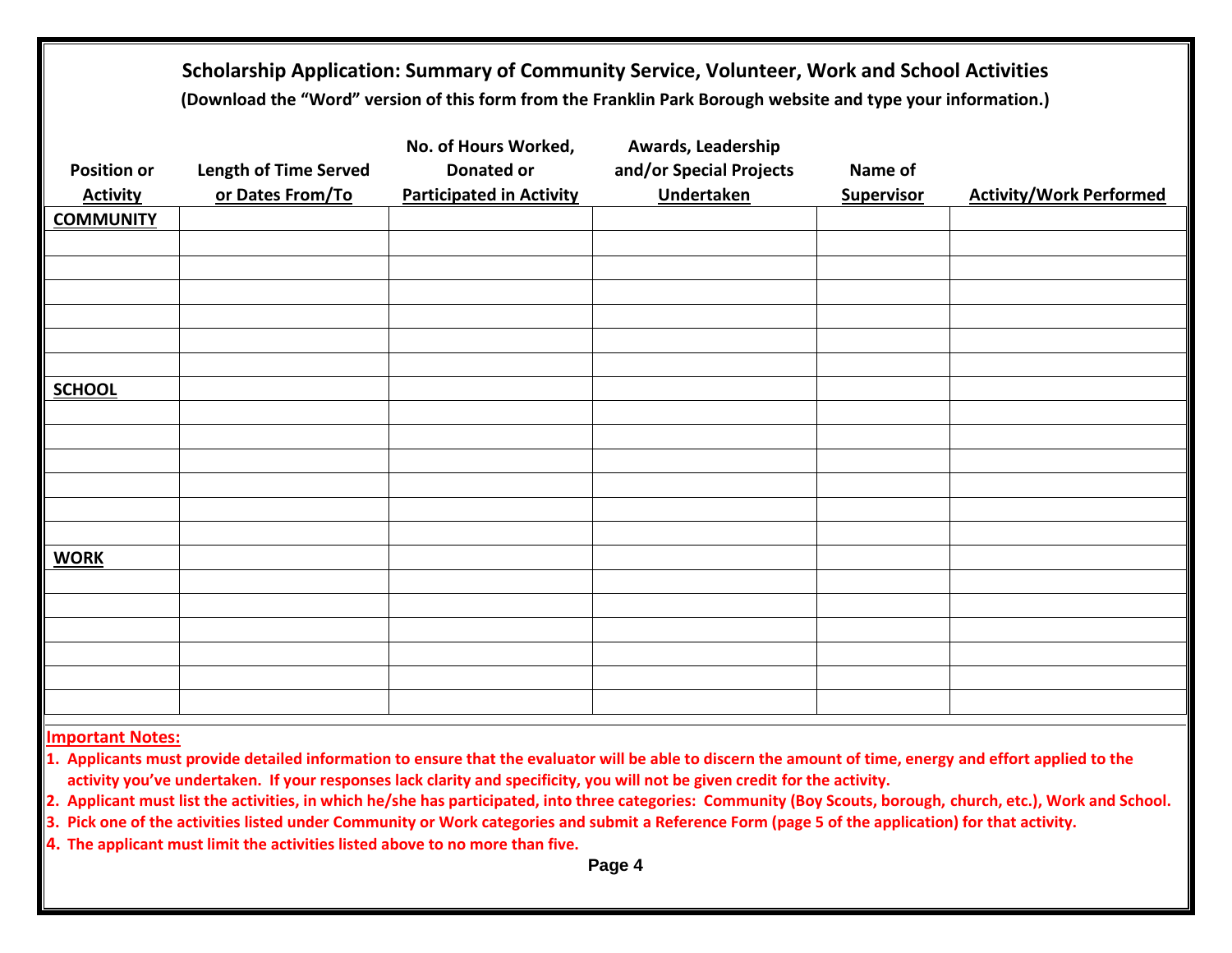| Scholarship Application: Summary of Community Service, Volunteer, Work and School Activities<br>(Download the "Word" version of this form from the Franklin Park Borough website and type your information.) |                                                                              |                                                                    |                              |                                |  |  |  |  |
|--------------------------------------------------------------------------------------------------------------------------------------------------------------------------------------------------------------|------------------------------------------------------------------------------|--------------------------------------------------------------------|------------------------------|--------------------------------|--|--|--|--|
| <b>Length of Time Served</b><br>or Dates From/To                                                                                                                                                             | No. of Hours Worked,<br><b>Donated or</b><br><b>Participated in Activity</b> | Awards, Leadership<br>and/or Special Projects<br><b>Undertaken</b> | Name of<br><b>Supervisor</b> | <b>Activity/Work Performed</b> |  |  |  |  |
|                                                                                                                                                                                                              |                                                                              |                                                                    |                              |                                |  |  |  |  |
|                                                                                                                                                                                                              |                                                                              |                                                                    |                              |                                |  |  |  |  |
|                                                                                                                                                                                                              |                                                                              |                                                                    |                              |                                |  |  |  |  |
|                                                                                                                                                                                                              |                                                                              |                                                                    |                              |                                |  |  |  |  |
|                                                                                                                                                                                                              |                                                                              |                                                                    |                              |                                |  |  |  |  |
|                                                                                                                                                                                                              |                                                                              |                                                                    |                              |                                |  |  |  |  |
|                                                                                                                                                                                                              |                                                                              |                                                                    |                              |                                |  |  |  |  |
|                                                                                                                                                                                                              |                                                                              |                                                                    |                              |                                |  |  |  |  |
|                                                                                                                                                                                                              |                                                                              |                                                                    |                              |                                |  |  |  |  |
|                                                                                                                                                                                                              |                                                                              |                                                                    |                              |                                |  |  |  |  |
|                                                                                                                                                                                                              |                                                                              |                                                                    |                              |                                |  |  |  |  |
|                                                                                                                                                                                                              |                                                                              |                                                                    |                              |                                |  |  |  |  |
|                                                                                                                                                                                                              |                                                                              |                                                                    |                              |                                |  |  |  |  |
|                                                                                                                                                                                                              |                                                                              |                                                                    |                              |                                |  |  |  |  |
|                                                                                                                                                                                                              |                                                                              |                                                                    |                              |                                |  |  |  |  |
|                                                                                                                                                                                                              |                                                                              |                                                                    |                              |                                |  |  |  |  |
|                                                                                                                                                                                                              |                                                                              |                                                                    |                              |                                |  |  |  |  |
|                                                                                                                                                                                                              |                                                                              |                                                                    |                              |                                |  |  |  |  |
|                                                                                                                                                                                                              |                                                                              |                                                                    |                              |                                |  |  |  |  |
|                                                                                                                                                                                                              |                                                                              |                                                                    |                              |                                |  |  |  |  |
|                                                                                                                                                                                                              |                                                                              |                                                                    |                              |                                |  |  |  |  |
|                                                                                                                                                                                                              |                                                                              |                                                                    |                              |                                |  |  |  |  |

**Important Notes:**

**1. Applicants must provide detailed information to ensure that the evaluator will be able to discern the amount of time, energy and effort applied to the activity you've undertaken. If your responses lack clarity and specificity, you will not be given credit for the activity.**

**2. Applicant must list the activities, in which he/she has participated, into three categories: Community (Boy Scouts, borough, church, etc.), Work and School.**

**3. Pick one of the activities listed under Community or Work categories and submit a Reference Form (page 5 of the application) for that activity.**

**4. The applicant must limit the activities listed above to no more than five.**